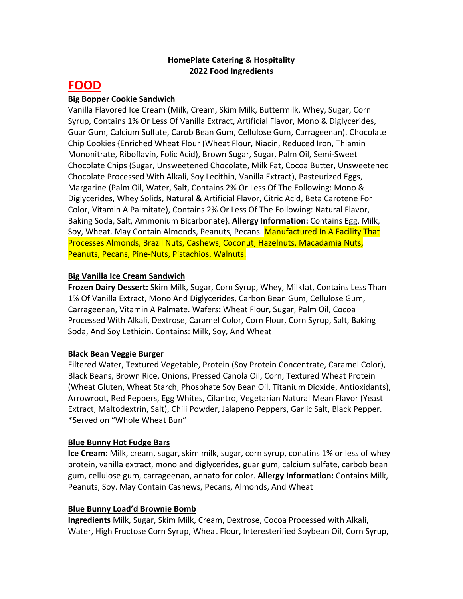# **HomePlate Catering & Hospitality 2022 Food Ingredients**

# **FOOD**

# **Big Bopper Cookie Sandwich**

Vanilla Flavored Ice Cream (Milk, Cream, Skim Milk, Buttermilk, Whey, Sugar, Corn Syrup, Contains 1% Or Less Of Vanilla Extract, Artificial Flavor, Mono & Diglycerides, Guar Gum, Calcium Sulfate, Carob Bean Gum, Cellulose Gum, Carrageenan). Chocolate Chip Cookies {Enriched Wheat Flour (Wheat Flour, Niacin, Reduced Iron, Thiamin Mononitrate, Riboflavin, Folic Acid), Brown Sugar, Sugar, Palm Oil, Semi‐Sweet Chocolate Chips (Sugar, Unsweetened Chocolate, Milk Fat, Cocoa Butter, Unsweetened Chocolate Processed With Alkali, Soy Lecithin, Vanilla Extract), Pasteurized Eggs, Margarine (Palm Oil, Water, Salt, Contains 2% Or Less Of The Following: Mono & Diglycerides, Whey Solids, Natural & Artificial Flavor, Citric Acid, Beta Carotene For Color, Vitamin A Palmitate), Contains 2% Or Less Of The Following: Natural Flavor, Baking Soda, Salt, Ammonium Bicarbonate}. **Allergy Information:** Contains Egg, Milk, Soy, Wheat. May Contain Almonds, Peanuts, Pecans. Manufactured In A Facility That Processes Almonds, Brazil Nuts, Cashews, Coconut, Hazelnuts, Macadamia Nuts, Peanuts, Pecans, Pine‐Nuts, Pistachios, Walnuts.

## **Big Vanilla Ice Cream Sandwich**

**Frozen Dairy Dessert:** Skim Milk, Sugar, Corn Syrup, Whey, Milkfat, Contains Less Than 1% Of Vanilla Extract, Mono And Diglycerides, Carbon Bean Gum, Cellulose Gum, Carrageenan, Vitamin A Palmate. Wafers**:** Wheat Flour, Sugar, Palm Oil, Cocoa Processed With Alkali, Dextrose, Caramel Color, Corn Flour, Corn Syrup, Salt, Baking Soda, And Soy Lethicin. Contains: Milk, Soy, And Wheat

### **Black Bean Veggie Burger**

Filtered Water, Textured Vegetable, Protein (Soy Protein Concentrate, Caramel Color), Black Beans, Brown Rice, Onions, Pressed Canola Oil, Corn, Textured Wheat Protein (Wheat Gluten, Wheat Starch, Phosphate Soy Bean Oil, Titanium Dioxide, Antioxidants), Arrowroot, Red Peppers, Egg Whites, Cilantro, Vegetarian Natural Mean Flavor (Yeast Extract, Maltodextrin, Salt), Chili Powder, Jalapeno Peppers, Garlic Salt, Black Pepper. \*Served on "Whole Wheat Bun"

### **Blue Bunny Hot Fudge Bars**

**Ice Cream:** Milk, cream, sugar, skim milk, sugar, corn syrup, conatins 1% or less of whey protein, vanilla extract, mono and diglycerides, guar gum, calcium sulfate, carbob bean gum, cellulose gum, carrageenan, annato for color. **Allergy Information:** Contains Milk, Peanuts, Soy. May Contain Cashews, Pecans, Almonds, And Wheat

### **Blue Bunny Load'd Brownie Bomb**

**Ingredients** Milk, Sugar, Skim Milk, Cream, Dextrose, Cocoa Processed with Alkali, Water, High Fructose Corn Syrup, Wheat Flour, Interesterified Soybean Oil, Corn Syrup,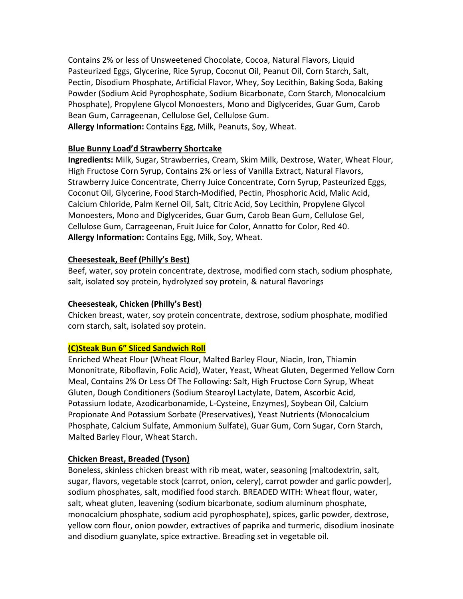Contains 2% or less of Unsweetened Chocolate, Cocoa, Natural Flavors, Liquid Pasteurized Eggs, Glycerine, Rice Syrup, Coconut Oil, Peanut Oil, Corn Starch, Salt, Pectin, Disodium Phosphate, Artificial Flavor, Whey, Soy Lecithin, Baking Soda, Baking Powder (Sodium Acid Pyrophosphate, Sodium Bicarbonate, Corn Starch, Monocalcium Phosphate), Propylene Glycol Monoesters, Mono and Diglycerides, Guar Gum, Carob Bean Gum, Carrageenan, Cellulose Gel, Cellulose Gum. **Allergy Information:** Contains Egg, Milk, Peanuts, Soy, Wheat.

## **Blue Bunny Load'd Strawberry Shortcake**

**Ingredients:** Milk, Sugar, Strawberries, Cream, Skim Milk, Dextrose, Water, Wheat Flour, High Fructose Corn Syrup, Contains 2% or less of Vanilla Extract, Natural Flavors, Strawberry Juice Concentrate, Cherry Juice Concentrate, Corn Syrup, Pasteurized Eggs, Coconut Oil, Glycerine, Food Starch‐Modified, Pectin, Phosphoric Acid, Malic Acid, Calcium Chloride, Palm Kernel Oil, Salt, Citric Acid, Soy Lecithin, Propylene Glycol Monoesters, Mono and Diglycerides, Guar Gum, Carob Bean Gum, Cellulose Gel, Cellulose Gum, Carrageenan, Fruit Juice for Color, Annatto for Color, Red 40. **Allergy Information:** Contains Egg, Milk, Soy, Wheat.

## **Cheesesteak, Beef (Philly's Best)**

Beef, water, soy protein concentrate, dextrose, modified corn stach, sodium phosphate, salt, isolated soy protein, hydrolyzed soy protein, & natural flavorings

### **Cheesesteak, Chicken (Philly's Best)**

Chicken breast, water, soy protein concentrate, dextrose, sodium phosphate, modified corn starch, salt, isolated soy protein.

### **(C)Steak Bun 6" Sliced Sandwich Roll**

Enriched Wheat Flour (Wheat Flour, Malted Barley Flour, Niacin, Iron, Thiamin Mononitrate, Riboflavin, Folic Acid), Water, Yeast, Wheat Gluten, Degermed Yellow Corn Meal, Contains 2% Or Less Of The Following: Salt, High Fructose Corn Syrup, Wheat Gluten, Dough Conditioners (Sodium Stearoyl Lactylate, Datem, Ascorbic Acid, Potassium Iodate, Azodicarbonamide, L‐Cysteine, Enzymes), Soybean Oil, Calcium Propionate And Potassium Sorbate (Preservatives), Yeast Nutrients (Monocalcium Phosphate, Calcium Sulfate, Ammonium Sulfate), Guar Gum, Corn Sugar, Corn Starch, Malted Barley Flour, Wheat Starch.

# **Chicken Breast, Breaded (Tyson)**

Boneless, skinless chicken breast with rib meat, water, seasoning [maltodextrin, salt, sugar, flavors, vegetable stock (carrot, onion, celery), carrot powder and garlic powder], sodium phosphates, salt, modified food starch. BREADED WITH: Wheat flour, water, salt, wheat gluten, leavening (sodium bicarbonate, sodium aluminum phosphate, monocalcium phosphate, sodium acid pyrophosphate), spices, garlic powder, dextrose, yellow corn flour, onion powder, extractives of paprika and turmeric, disodium inosinate and disodium guanylate, spice extractive. Breading set in vegetable oil.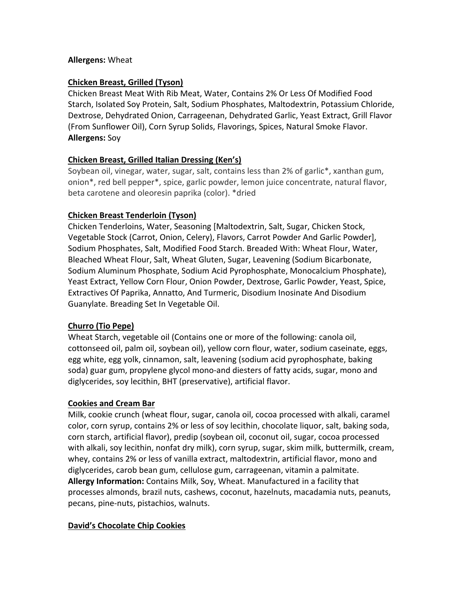## **Allergens:** Wheat

## **Chicken Breast, Grilled (Tyson)**

Chicken Breast Meat With Rib Meat, Water, Contains 2% Or Less Of Modified Food Starch, Isolated Soy Protein, Salt, Sodium Phosphates, Maltodextrin, Potassium Chloride, Dextrose, Dehydrated Onion, Carrageenan, Dehydrated Garlic, Yeast Extract, Grill Flavor (From Sunflower Oil), Corn Syrup Solids, Flavorings, Spices, Natural Smoke Flavor. **Allergens:** Soy

# **Chicken Breast, Grilled Italian Dressing (Ken's)**

Soybean oil, vinegar, water, sugar, salt, contains less than 2% of garlic\*, xanthan gum, onion\*, red bell pepper\*, spice, garlic powder, lemon juice concentrate, natural flavor, beta carotene and oleoresin paprika (color). \*dried

## **Chicken Breast Tenderloin (Tyson)**

Chicken Tenderloins, Water, Seasoning [Maltodextrin, Salt, Sugar, Chicken Stock, Vegetable Stock (Carrot, Onion, Celery), Flavors, Carrot Powder And Garlic Powder], Sodium Phosphates, Salt, Modified Food Starch. Breaded With: Wheat Flour, Water, Bleached Wheat Flour, Salt, Wheat Gluten, Sugar, Leavening (Sodium Bicarbonate, Sodium Aluminum Phosphate, Sodium Acid Pyrophosphate, Monocalcium Phosphate), Yeast Extract, Yellow Corn Flour, Onion Powder, Dextrose, Garlic Powder, Yeast, Spice, Extractives Of Paprika, Annatto, And Turmeric, Disodium Inosinate And Disodium Guanylate. Breading Set In Vegetable Oil.

# **Churro (Tio Pepe)**

Wheat Starch, vegetable oil (Contains one or more of the following: canola oil, cottonseed oil, palm oil, soybean oil), yellow corn flour, water, sodium caseinate, eggs, egg white, egg yolk, cinnamon, salt, leavening (sodium acid pyrophosphate, baking soda) guar gum, propylene glycol mono‐and diesters of fatty acids, sugar, mono and diglycerides, soy lecithin, BHT (preservative), artificial flavor.

### **Cookies and Cream Bar**

Milk, cookie crunch (wheat flour, sugar, canola oil, cocoa processed with alkali, caramel color, corn syrup, contains 2% or less of soy lecithin, chocolate liquor, salt, baking soda, corn starch, artificial flavor), predip (soybean oil, coconut oil, sugar, cocoa processed with alkali, soy lecithin, nonfat dry milk), corn syrup, sugar, skim milk, buttermilk, cream, whey, contains 2% or less of vanilla extract, maltodextrin, artificial flavor, mono and diglycerides, carob bean gum, cellulose gum, carrageenan, vitamin a palmitate. **Allergy Information:** Contains Milk, Soy, Wheat. Manufactured in a facility that processes almonds, brazil nuts, cashews, coconut, hazelnuts, macadamia nuts, peanuts, pecans, pine‐nuts, pistachios, walnuts.

### **David's Chocolate Chip Cookies**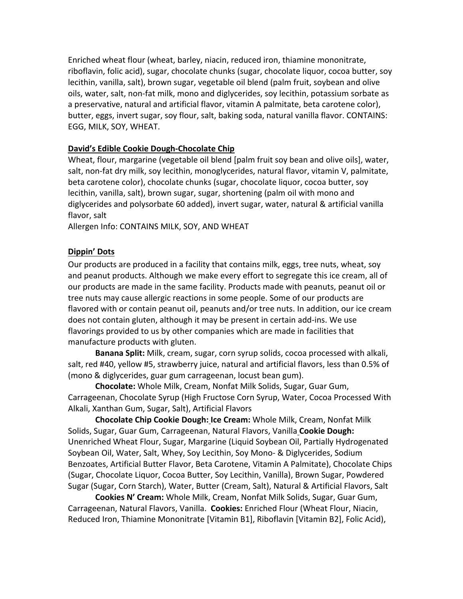Enriched wheat flour (wheat, barley, niacin, reduced iron, thiamine mononitrate, riboflavin, folic acid), sugar, chocolate chunks (sugar, chocolate liquor, cocoa butter, soy lecithin, vanilla, salt), brown sugar, vegetable oil blend (palm fruit, soybean and olive oils, water, salt, non‐fat milk, mono and diglycerides, soy lecithin, potassium sorbate as a preservative, natural and artificial flavor, vitamin A palmitate, beta carotene color), butter, eggs, invert sugar, soy flour, salt, baking soda, natural vanilla flavor. CONTAINS: EGG, MILK, SOY, WHEAT.

### **David's Edible Cookie Dough‐Chocolate Chip**

Wheat, flour, margarine (vegetable oil blend [palm fruit soy bean and olive oils], water, salt, non-fat dry milk, soy lecithin, monoglycerides, natural flavor, vitamin V, palmitate, beta carotene color), chocolate chunks (sugar, chocolate liquor, cocoa butter, soy lecithin, vanilla, salt), brown sugar, sugar, shortening (palm oil with mono and diglycerides and polysorbate 60 added), invert sugar, water, natural & artificial vanilla flavor, salt

Allergen Info: CONTAINS MILK, SOY, AND WHEAT

### **Dippin' Dots**

Our products are produced in a facility that contains milk, eggs, tree nuts, wheat, soy and peanut products. Although we make every effort to segregate this ice cream, all of our products are made in the same facility. Products made with peanuts, peanut oil or tree nuts may cause allergic reactions in some people. Some of our products are flavored with or contain peanut oil, peanuts and/or tree nuts. In addition, our ice cream does not contain gluten, although it may be present in certain add‐ins. We use flavorings provided to us by other companies which are made in facilities that manufacture products with gluten.

**Banana Split:** Milk, cream, sugar, corn syrup solids, cocoa processed with alkali, salt, red #40, yellow #5, strawberry juice, natural and artificial flavors, less than 0.5% of (mono & diglycerides, guar gum carrageenan, locust bean gum).

**Chocolate:** Whole Milk, Cream, Nonfat Milk Solids, Sugar, Guar Gum, Carrageenan, Chocolate Syrup (High Fructose Corn Syrup, Water, Cocoa Processed With Alkali, Xanthan Gum, Sugar, Salt), Artificial Flavors

**Chocolate Chip Cookie Dough: Ice Cream:** Whole Milk, Cream, Nonfat Milk Solids, Sugar, Guar Gum, Carrageenan, Natural Flavors, Vanilla **Cookie Dough:**  Unenriched Wheat Flour, Sugar, Margarine (Liquid Soybean Oil, Partially Hydrogenated Soybean Oil, Water, Salt, Whey, Soy Lecithin, Soy Mono‐ & Diglycerides, Sodium Benzoates, Artificial Butter Flavor, Beta Carotene, Vitamin A Palmitate), Chocolate Chips (Sugar, Chocolate Liquor, Cocoa Butter, Soy Lecithin, Vanilla), Brown Sugar, Powdered Sugar (Sugar, Corn Starch), Water, Butter (Cream, Salt), Natural & Artificial Flavors, Salt

**Cookies N' Cream:** Whole Milk, Cream, Nonfat Milk Solids, Sugar, Guar Gum, Carrageenan, Natural Flavors, Vanilla. **Cookies:** Enriched Flour (Wheat Flour, Niacin, Reduced Iron, Thiamine Mononitrate [Vitamin B1], Riboflavin [Vitamin B2], Folic Acid),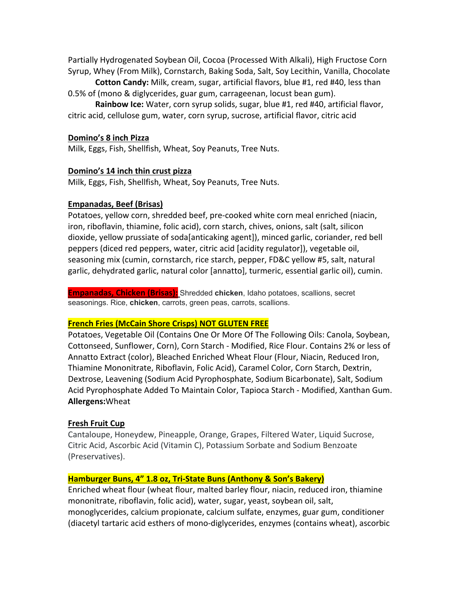Partially Hydrogenated Soybean Oil, Cocoa (Processed With Alkali), High Fructose Corn Syrup, Whey (From Milk), Cornstarch, Baking Soda, Salt, Soy Lecithin, Vanilla, Chocolate

**Cotton Candy:** Milk, cream, sugar, artificial flavors, blue #1, red #40, less than 0.5% of (mono & diglycerides, guar gum, carrageenan, locust bean gum).

**Rainbow Ice:** Water, corn syrup solids, sugar, blue #1, red #40, artificial flavor, citric acid, cellulose gum, water, corn syrup, sucrose, artificial flavor, citric acid

### **Domino's 8 inch Pizza**

Milk, Eggs, Fish, Shellfish, Wheat, Soy Peanuts, Tree Nuts.

### **Domino's 14 inch thin crust pizza**

Milk, Eggs, Fish, Shellfish, Wheat, Soy Peanuts, Tree Nuts.

### **Empanadas, Beef (Brisas)**

Potatoes, yellow corn, shredded beef, pre‐cooked white corn meal enriched (niacin, iron, riboflavin, thiamine, folic acid), corn starch, chives, onions, salt (salt, silicon dioxide, yellow prussiate of soda[anticaking agent]), minced garlic, coriander, red bell peppers (diced red peppers, water, citric acid [acidity regulator]), vegetable oil, seasoning mix (cumin, cornstarch, rice starch, pepper, FD&C yellow #5, salt, natural garlic, dehydrated garlic, natural color [annatto], turmeric, essential garlic oil), cumin.

**Empanadas, Chicken (Brisas):** Shredded **chicken**, Idaho potatoes, scallions, secret seasonings. Rice, **chicken**, carrots, green peas, carrots, scallions.

### **French Fries (McCain Shore Crisps) NOT GLUTEN FREE**

Potatoes, Vegetable Oil (Contains One Or More Of The Following Oils: Canola, Soybean, Cottonseed, Sunflower, Corn), Corn Starch ‐ Modified, Rice Flour. Contains 2% or less of Annatto Extract (color), Bleached Enriched Wheat Flour (Flour, Niacin, Reduced Iron, Thiamine Mononitrate, Riboflavin, Folic Acid), Caramel Color, Corn Starch, Dextrin, Dextrose, Leavening (Sodium Acid Pyrophosphate, Sodium Bicarbonate), Salt, Sodium Acid Pyrophosphate Added To Maintain Color, Tapioca Starch ‐ Modified, Xanthan Gum. **Allergens:**Wheat

### **Fresh Fruit Cup**

Cantaloupe, Honeydew, Pineapple, Orange, Grapes, Filtered Water, Liquid Sucrose, Citric Acid, Ascorbic Acid (Vitamin C), Potassium Sorbate and Sodium Benzoate (Preservatives).

### **Hamburger Buns, 4" 1.8 oz, Tri‐State Buns (Anthony & Son's Bakery)**

Enriched wheat flour (wheat flour, malted barley flour, niacin, reduced iron, thiamine mononitrate, riboflavin, folic acid), water, sugar, yeast, soybean oil, salt, monoglycerides, calcium propionate, calcium sulfate, enzymes, guar gum, conditioner (diacetyl tartaric acid esthers of mono‐diglycerides, enzymes (contains wheat), ascorbic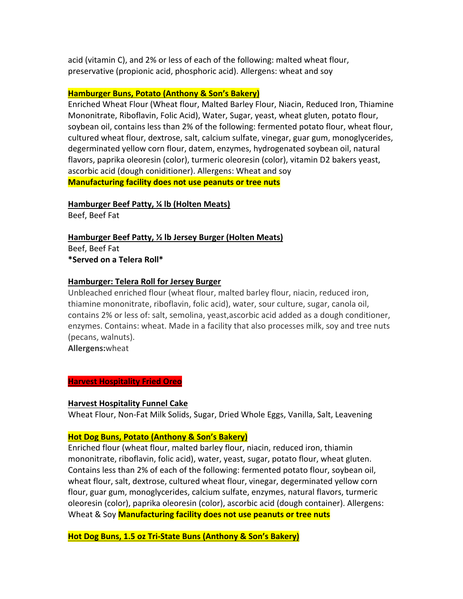acid (vitamin C), and 2% or less of each of the following: malted wheat flour, preservative (propionic acid, phosphoric acid). Allergens: wheat and soy

## **Hamburger Buns, Potato (Anthony & Son's Bakery)**

Enriched Wheat Flour (Wheat flour, Malted Barley Flour, Niacin, Reduced Iron, Thiamine Mononitrate, Riboflavin, Folic Acid), Water, Sugar, yeast, wheat gluten, potato flour, soybean oil, contains less than 2% of the following: fermented potato flour, wheat flour, cultured wheat flour, dextrose, salt, calcium sulfate, vinegar, guar gum, monoglycerides, degerminated yellow corn flour, datem, enzymes, hydrogenated soybean oil, natural flavors, paprika oleoresin (color), turmeric oleoresin (color), vitamin D2 bakers yeast, ascorbic acid (dough coniditioner). Allergens: Wheat and soy **Manufacturing facility does not use peanuts or tree nuts**

### **Hamburger Beef Patty, ¼ lb (Holten Meats)**

Beef, Beef Fat

**Hamburger Beef Patty, ½ lb Jersey Burger (Holten Meats)**  Beef, Beef Fat **\*Served on a Telera Roll\*** 

## **Hamburger: Telera Roll for Jersey Burger**

Unbleached enriched flour (wheat flour, malted barley flour, niacin, reduced iron, thiamine mononitrate, riboflavin, folic acid), water, sour culture, sugar, canola oil, contains 2% or less of: salt, semolina, yeast,ascorbic acid added as a dough conditioner, enzymes. Contains: wheat. Made in a facility that also processes milk, soy and tree nuts (pecans, walnuts).

**Allergens:**wheat

### **Harvest Hospitality Fried Oreo**

### **Harvest Hospitality Funnel Cake**

Wheat Flour, Non‐Fat Milk Solids, Sugar, Dried Whole Eggs, Vanilla, Salt, Leavening

# **Hot Dog Buns, Potato (Anthony & Son's Bakery)**

Enriched flour (wheat flour, malted barley flour, niacin, reduced iron, thiamin mononitrate, riboflavin, folic acid), water, yeast, sugar, potato flour, wheat gluten. Contains less than 2% of each of the following: fermented potato flour, soybean oil, wheat flour, salt, dextrose, cultured wheat flour, vinegar, degerminated yellow corn flour, guar gum, monoglycerides, calcium sulfate, enzymes, natural flavors, turmeric oleoresin (color), paprika oleoresin (color), ascorbic acid (dough container). Allergens: Wheat & Soy **Manufacturing facility does not use peanuts or tree nuts**

**Hot Dog Buns, 1.5 oz Tri‐State Buns (Anthony & Son's Bakery)**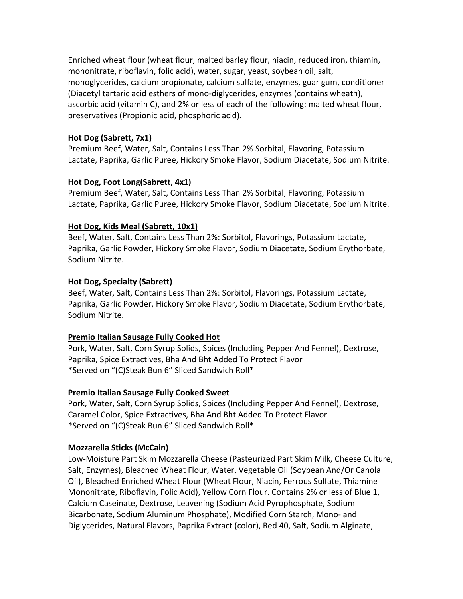Enriched wheat flour (wheat flour, malted barley flour, niacin, reduced iron, thiamin, mononitrate, riboflavin, folic acid), water, sugar, yeast, soybean oil, salt, monoglycerides, calcium propionate, calcium sulfate, enzymes, guar gum, conditioner (Diacetyl tartaric acid esthers of mono‐diglycerides, enzymes (contains wheath), ascorbic acid (vitamin C), and 2% or less of each of the following: malted wheat flour, preservatives (Propionic acid, phosphoric acid).

## **Hot Dog (Sabrett, 7x1)**

Premium Beef, Water, Salt, Contains Less Than 2% Sorbital, Flavoring, Potassium Lactate, Paprika, Garlic Puree, Hickory Smoke Flavor, Sodium Diacetate, Sodium Nitrite.

## **Hot Dog, Foot Long(Sabrett, 4x1)**

Premium Beef, Water, Salt, Contains Less Than 2% Sorbital, Flavoring, Potassium Lactate, Paprika, Garlic Puree, Hickory Smoke Flavor, Sodium Diacetate, Sodium Nitrite.

# **Hot Dog, Kids Meal (Sabrett, 10x1)**

Beef, Water, Salt, Contains Less Than 2%: Sorbitol, Flavorings, Potassium Lactate, Paprika, Garlic Powder, Hickory Smoke Flavor, Sodium Diacetate, Sodium Erythorbate, Sodium Nitrite.

## **Hot Dog, Specialty (Sabrett)**

Beef, Water, Salt, Contains Less Than 2%: Sorbitol, Flavorings, Potassium Lactate, Paprika, Garlic Powder, Hickory Smoke Flavor, Sodium Diacetate, Sodium Erythorbate, Sodium Nitrite.

### **Premio Italian Sausage Fully Cooked Hot**

Pork, Water, Salt, Corn Syrup Solids, Spices (Including Pepper And Fennel), Dextrose, Paprika, Spice Extractives, Bha And Bht Added To Protect Flavor \*Served on "(C)Steak Bun 6" Sliced Sandwich Roll\*

### **Premio Italian Sausage Fully Cooked Sweet**

Pork, Water, Salt, Corn Syrup Solids, Spices (Including Pepper And Fennel), Dextrose, Caramel Color, Spice Extractives, Bha And Bht Added To Protect Flavor \*Served on "(C)Steak Bun 6" Sliced Sandwich Roll\*

# **Mozzarella Sticks (McCain)**

Low‐Moisture Part Skim Mozzarella Cheese (Pasteurized Part Skim Milk, Cheese Culture, Salt, Enzymes), Bleached Wheat Flour, Water, Vegetable Oil (Soybean And/Or Canola Oil), Bleached Enriched Wheat Flour (Wheat Flour, Niacin, Ferrous Sulfate, Thiamine Mononitrate, Riboflavin, Folic Acid), Yellow Corn Flour. Contains 2% or less of Blue 1, Calcium Caseinate, Dextrose, Leavening (Sodium Acid Pyrophosphate, Sodium Bicarbonate, Sodium Aluminum Phosphate), Modified Corn Starch, Mono‐ and Diglycerides, Natural Flavors, Paprika Extract (color), Red 40, Salt, Sodium Alginate,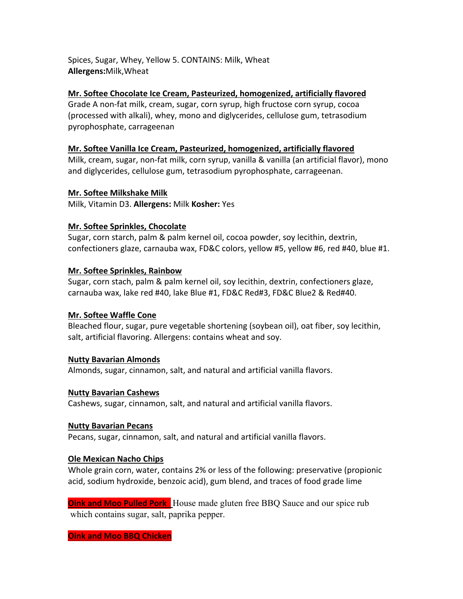Spices, Sugar, Whey, Yellow 5. CONTAINS: Milk, Wheat **Allergens:**Milk,Wheat

# **Mr. Softee Chocolate Ice Cream, Pasteurized, homogenized, artificially flavored**

Grade A non‐fat milk, cream, sugar, corn syrup, high fructose corn syrup, cocoa (processed with alkali), whey, mono and diglycerides, cellulose gum, tetrasodium pyrophosphate, carrageenan

## **Mr. Softee Vanilla Ice Cream, Pasteurized, homogenized, artificially flavored**

Milk, cream, sugar, non‐fat milk, corn syrup, vanilla & vanilla (an artificial flavor), mono and diglycerides, cellulose gum, tetrasodium pyrophosphate, carrageenan.

## **Mr. Softee Milkshake Milk**

Milk, Vitamin D3. **Allergens:** Milk **Kosher:** Yes

# **Mr. Softee Sprinkles, Chocolate**

Sugar, corn starch, palm & palm kernel oil, cocoa powder, soy lecithin, dextrin, confectioners glaze, carnauba wax, FD&C colors, yellow #5, yellow #6, red #40, blue #1.

## **Mr. Softee Sprinkles, Rainbow**

Sugar, corn stach, palm & palm kernel oil, soy lecithin, dextrin, confectioners glaze, carnauba wax, lake red #40, lake Blue #1, FD&C Red#3, FD&C Blue2 & Red#40.

# **Mr. Softee Waffle Cone**

Bleached flour, sugar, pure vegetable shortening (soybean oil), oat fiber, soy lecithin, salt, artificial flavoring. Allergens: contains wheat and soy.

# **Nutty Bavarian Almonds**

Almonds, sugar, cinnamon, salt, and natural and artificial vanilla flavors.

### **Nutty Bavarian Cashews**

Cashews, sugar, cinnamon, salt, and natural and artificial vanilla flavors.

### **Nutty Bavarian Pecans**

Pecans, sugar, cinnamon, salt, and natural and artificial vanilla flavors.

### **Ole Mexican Nacho Chips**

Whole grain corn, water, contains 2% or less of the following: preservative (propionic acid, sodium hydroxide, benzoic acid), gum blend, and traces of food grade lime

**Oink and Moo Pulled Pork** House made gluten free BBQ Sauce and our spice rub which contains sugar, salt, paprika pepper.

**Oink and Moo BBQ Chicken**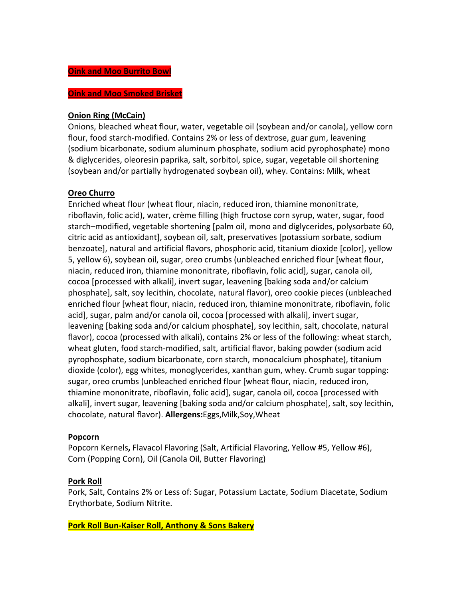#### **Oink and Moo Smoked Brisket**

### **Onion Ring (McCain)**

Onions, bleached wheat flour, water, vegetable oil (soybean and/or canola), yellow corn flour, food starch‐modified. Contains 2% or less of dextrose, guar gum, leavening (sodium bicarbonate, sodium aluminum phosphate, sodium acid pyrophosphate) mono & diglycerides, oleoresin paprika, salt, sorbitol, spice, sugar, vegetable oil shortening (soybean and/or partially hydrogenated soybean oil), whey. Contains: Milk, wheat

### **Oreo Churro**

Enriched wheat flour (wheat flour, niacin, reduced iron, thiamine mononitrate, riboflavin, folic acid), water, crème filling (high fructose corn syrup, water, sugar, food starch–modified, vegetable shortening [palm oil, mono and diglycerides, polysorbate 60, citric acid as antioxidant], soybean oil, salt, preservatives [potassium sorbate, sodium benzoate], natural and artificial flavors, phosphoric acid, titanium dioxide [color], yellow 5, yellow 6), soybean oil, sugar, oreo crumbs (unbleached enriched flour [wheat flour, niacin, reduced iron, thiamine mononitrate, riboflavin, folic acid], sugar, canola oil, cocoa [processed with alkali], invert sugar, leavening [baking soda and/or calcium phosphate], salt, soy lecithin, chocolate, natural flavor), oreo cookie pieces (unbleached enriched flour [wheat flour, niacin, reduced iron, thiamine mononitrate, riboflavin, folic acid], sugar, palm and/or canola oil, cocoa [processed with alkali], invert sugar, leavening [baking soda and/or calcium phosphate], soy lecithin, salt, chocolate, natural flavor), cocoa (processed with alkali), contains 2% or less of the following: wheat starch, wheat gluten, food starch‐modified, salt, artificial flavor, baking powder (sodium acid pyrophosphate, sodium bicarbonate, corn starch, monocalcium phosphate), titanium dioxide (color), egg whites, monoglycerides, xanthan gum, whey. Crumb sugar topping: sugar, oreo crumbs (unbleached enriched flour [wheat flour, niacin, reduced iron, thiamine mononitrate, riboflavin, folic acid], sugar, canola oil, cocoa [processed with alkali], invert sugar, leavening [baking soda and/or calcium phosphate], salt, soy lecithin, chocolate, natural flavor). **Allergens:**Eggs,Milk,Soy,Wheat

### **Popcorn**

Popcorn Kernels**,** Flavacol Flavoring (Salt, Artificial Flavoring, Yellow #5, Yellow #6), Corn (Popping Corn), Oil (Canola Oil, Butter Flavoring)

### **Pork Roll**

Pork, Salt, Contains 2% or Less of: Sugar, Potassium Lactate, Sodium Diacetate, Sodium Erythorbate, Sodium Nitrite.

**Pork Roll Bun‐Kaiser Roll, Anthony & Sons Bakery**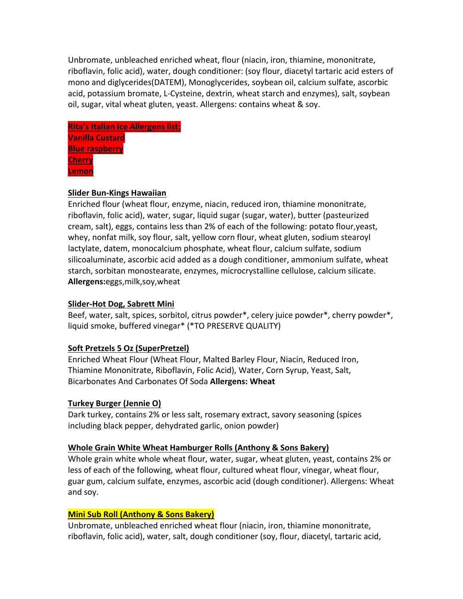Unbromate, unbleached enriched wheat, flour (niacin, iron, thiamine, mononitrate, riboflavin, folic acid), water, dough conditioner: (soy flour, diacetyl tartaric acid esters of mono and diglycerides(DATEM), Monoglycerides, soybean oil, calcium sulfate, ascorbic acid, potassium bromate, L‐Cysteine, dextrin, wheat starch and enzymes), salt, soybean oil, sugar, vital wheat gluten, yeast. Allergens: contains wheat & soy.

| <b>Rita's Italian Ice Allergens list:</b> |  |
|-------------------------------------------|--|
| <b>Vanilla Custard</b>                    |  |
| <b>Blue raspberry</b>                     |  |
| <b>Cherry</b>                             |  |
| Lemon                                     |  |

# **Slider Bun‐Kings Hawaiian**

Enriched flour (wheat flour, enzyme, niacin, reduced iron, thiamine mononitrate, riboflavin, folic acid), water, sugar, liquid sugar (sugar, water), butter (pasteurized cream, salt), eggs, contains less than 2% of each of the following: potato flour,yeast, whey, nonfat milk, soy flour, salt, yellow corn flour, wheat gluten, sodium stearoyl lactylate, datem, monocalcium phosphate, wheat flour, calcium sulfate, sodium silicoaluminate, ascorbic acid added as a dough conditioner, ammonium sulfate, wheat starch, sorbitan monostearate, enzymes, microcrystalline cellulose, calcium silicate. **Allergens:**eggs,milk,soy,wheat

# **Slider‐Hot Dog, Sabrett Mini**

Beef, water, salt, spices, sorbitol, citrus powder\*, celery juice powder\*, cherry powder\*, liquid smoke, buffered vinegar\* (\*TO PRESERVE QUALITY)

# **Soft Pretzels 5 Oz (SuperPretzel)**

Enriched Wheat Flour (Wheat Flour, Malted Barley Flour, Niacin, Reduced Iron, Thiamine Mononitrate, Riboflavin, Folic Acid), Water, Corn Syrup, Yeast, Salt, Bicarbonates And Carbonates Of Soda **Allergens: Wheat**

### **Turkey Burger (Jennie O)**

Dark turkey, contains 2% or less salt, rosemary extract, savory seasoning (spices including black pepper, dehydrated garlic, onion powder)

### **Whole Grain White Wheat Hamburger Rolls (Anthony & Sons Bakery)**

Whole grain white whole wheat flour, water, sugar, wheat gluten, yeast, contains 2% or less of each of the following, wheat flour, cultured wheat flour, vinegar, wheat flour, guar gum, calcium sulfate, enzymes, ascorbic acid (dough conditioner). Allergens: Wheat and soy.

### **Mini Sub Roll (Anthony & Sons Bakery)**

Unbromate, unbleached enriched wheat flour (niacin, iron, thiamine mononitrate, riboflavin, folic acid), water, salt, dough conditioner (soy, flour, diacetyl, tartaric acid,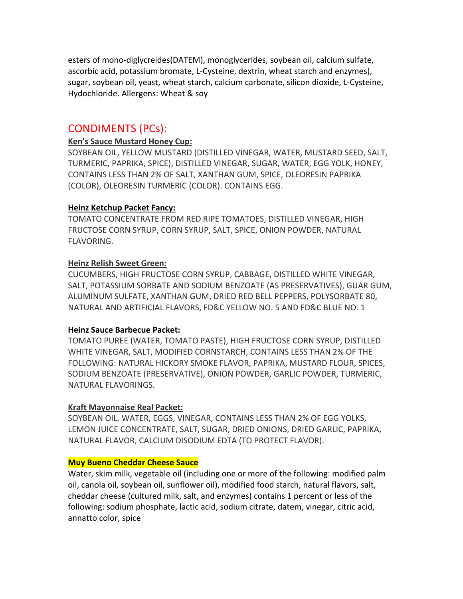esters of mono‐diglycreides(DATEM), monoglycerides, soybean oil, calcium sulfate, ascorbic acid, potassium bromate, L‐Cysteine, dextrin, wheat starch and enzymes), sugar, soybean oil, yeast, wheat starch, calcium carbonate, silicon dioxide, L‐Cysteine, Hydochloride. Allergens: Wheat & soy

# CONDIMENTS (PCs):

## **Ken's Sauce Mustard Honey Cup:**

SOYBEAN OIL, YELLOW MUSTARD (DISTILLED VINEGAR, WATER, MUSTARD SEED, SALT, TURMERIC, PAPRIKA, SPICE), DISTILLED VINEGAR, SUGAR, WATER, EGG YOLK, HONEY, CONTAINS LESS THAN 2% OF SALT, XANTHAN GUM, SPICE, OLEORESIN PAPRIKA (COLOR), OLEORESIN TURMERIC (COLOR). CONTAINS EGG.

## **Heinz Ketchup Packet Fancy:**

TOMATO CONCENTRATE FROM RED RIPE TOMATOES, DISTILLED VINEGAR, HIGH FRUCTOSE CORN SYRUP, CORN SYRUP, SALT, SPICE, ONION POWDER, NATURAL FLAVORING.

## **Heinz Relish Sweet Green:**

CUCUMBERS, HIGH FRUCTOSE CORN SYRUP, CABBAGE, DISTILLED WHITE VINEGAR, SALT, POTASSIUM SORBATE AND SODIUM BENZOATE (AS PRESERVATIVES), GUAR GUM, ALUMINUM SULFATE, XANTHAN GUM, DRIED RED BELL PEPPERS, POLYSORBATE 80, NATURAL AND ARTIFICIAL FLAVORS, FD&C YELLOW NO. 5 AND FD&C BLUE NO. 1

# **Heinz Sauce Barbecue Packet:**

TOMATO PUREE (WATER, TOMATO PASTE), HIGH FRUCTOSE CORN SYRUP, DISTILLED WHITE VINEGAR, SALT, MODIFIED CORNSTARCH, CONTAINS LESS THAN 2% OF THE FOLLOWING: NATURAL HICKORY SMOKE FLAVOR, PAPRIKA, MUSTARD FLOUR, SPICES, SODIUM BENZOATE (PRESERVATIVE), ONION POWDER, GARLIC POWDER, TURMERIC, NATURAL FLAVORINGS.

### **Kraft Mayonnaise Real Packet:**

SOYBEAN OIL, WATER, EGGS, VINEGAR, CONTAINS LESS THAN 2% OF EGG YOLKS, LEMON JUICE CONCENTRATE, SALT, SUGAR, DRIED ONIONS, DRIED GARLIC, PAPRIKA, NATURAL FLAVOR, CALCIUM DISODIUM EDTA (TO PROTECT FLAVOR).

### **Muy Bueno Cheddar Cheese Sauce**

Water, skim milk, vegetable oil (including one or more of the following: modified palm oil, canola oil, soybean oil, sunflower oil), modified food starch, natural flavors, salt, cheddar cheese (cultured milk, salt, and enzymes) contains 1 percent or less of the following: sodium phosphate, lactic acid, sodium citrate, datem, vinegar, citric acid, annatto color, spice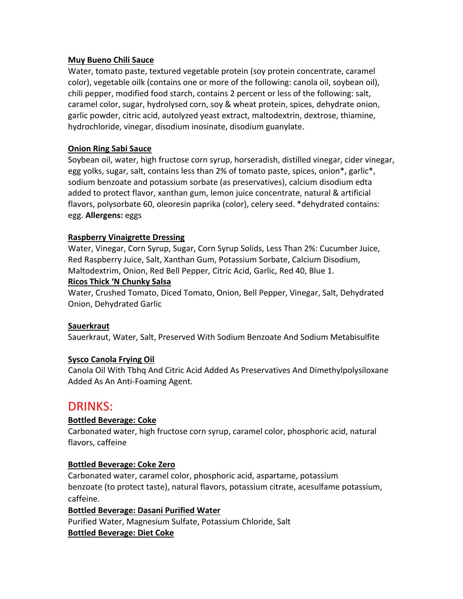## **Muy Bueno Chili Sauce**

Water, tomato paste, textured vegetable protein (soy protein concentrate, caramel color), vegetable oilk (contains one or more of the following: canola oil, soybean oil), chili pepper, modified food starch, contains 2 percent or less of the following: salt, caramel color, sugar, hydrolysed corn, soy & wheat protein, spices, dehydrate onion, garlic powder, citric acid, autolyzed yeast extract, maltodextrin, dextrose, thiamine, hydrochloride, vinegar, disodium inosinate, disodium guanylate.

# **Onion Ring Sabi Sauce**

Soybean oil, water, high fructose corn syrup, horseradish, distilled vinegar, cider vinegar, egg yolks, sugar, salt, contains less than 2% of tomato paste, spices, onion\*, garlic\*, sodium benzoate and potassium sorbate (as preservatives), calcium disodium edta added to protect flavor, xanthan gum, lemon juice concentrate, natural & artificial flavors, polysorbate 60, oleoresin paprika (color), celery seed. \*dehydrated contains: egg. **Allergens:** eggs

### **Raspberry Vinaigrette Dressing**

Water, Vinegar, Corn Syrup, Sugar, Corn Syrup Solids, Less Than 2%: Cucumber Juice, Red Raspberry Juice, Salt, Xanthan Gum, Potassium Sorbate, Calcium Disodium, Maltodextrim, Onion, Red Bell Pepper, Citric Acid, Garlic, Red 40, Blue 1.

### **Ricos Thick 'N Chunky Salsa**

Water, Crushed Tomato, Diced Tomato, Onion, Bell Pepper, Vinegar, Salt, Dehydrated Onion, Dehydrated Garlic

### **Sauerkraut**

Sauerkraut, Water, Salt, Preserved With Sodium Benzoate And Sodium Metabisulfite

# **Sysco Canola Frying Oil**

Canola Oil With Tbhq And Citric Acid Added As Preservatives And Dimethylpolysiloxane Added As An Anti‐Foaming Agent.

# DRINKS:

# **Bottled Beverage: Coke**

Carbonated water, high fructose corn syrup, caramel color, phosphoric acid, natural flavors, caffeine

### **Bottled Beverage: Coke Zero**

Carbonated water, caramel color, phosphoric acid, aspartame, potassium benzoate (to protect taste), natural flavors, potassium citrate, acesulfame potassium, caffeine.

**Bottled Beverage: Dasani Purified Water** 

Purified Water, Magnesium Sulfate, Potassium Chloride, Salt **Bottled Beverage: Diet Coke**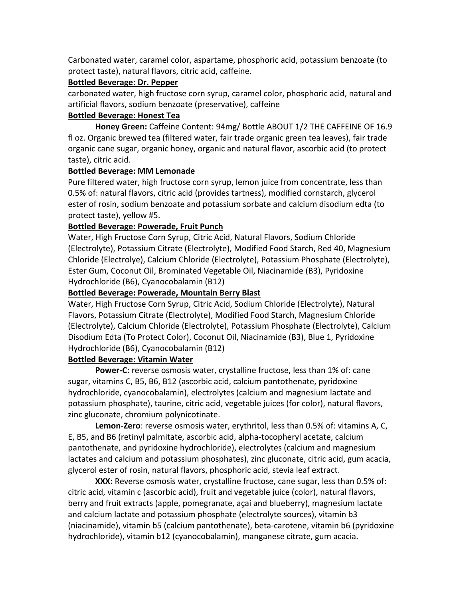Carbonated water, caramel color, aspartame, phosphoric acid, potassium benzoate (to protect taste), natural flavors, citric acid, caffeine.

### **Bottled Beverage: Dr. Pepper**

carbonated water, high fructose corn syrup, caramel color, phosphoric acid, natural and artificial flavors, sodium benzoate (preservative), caffeine

### **Bottled Beverage: Honest Tea**

**Honey Green:** Caffeine Content: 94mg/ Bottle ABOUT 1/2 THE CAFFEINE OF 16.9 fl oz. Organic brewed tea (filtered water, fair trade organic green tea leaves), fair trade organic cane sugar, organic honey, organic and natural flavor, ascorbic acid (to protect taste), citric acid.

### **Bottled Beverage: MM Lemonade**

Pure filtered water, high fructose corn syrup, lemon juice from concentrate, less than 0.5% of: natural flavors, citric acid (provides tartness), modified cornstarch, glycerol ester of rosin, sodium benzoate and potassium sorbate and calcium disodium edta (to protect taste), yellow #5.

## **Bottled Beverage: Powerade, Fruit Punch**

Water, High Fructose Corn Syrup, Citric Acid, Natural Flavors, Sodium Chloride (Electrolyte), Potassium Citrate (Electrolyte), Modified Food Starch, Red 40, Magnesium Chloride (Electrolye), Calcium Chloride (Electrolyte), Potassium Phosphate (Electrolyte), Ester Gum, Coconut Oil, Brominated Vegetable Oil, Niacinamide (B3), Pyridoxine Hydrochloride (B6), Cyanocobalamin (B12)

## **Bottled Beverage: Powerade, Mountain Berry Blast**

Water, High Fructose Corn Syrup, Citric Acid, Sodium Chloride (Electrolyte), Natural Flavors, Potassium Citrate (Electrolyte), Modified Food Starch, Magnesium Chloride (Electrolyte), Calcium Chloride (Electrolyte), Potassium Phosphate (Electrolyte), Calcium Disodium Edta (To Protect Color), Coconut Oil, Niacinamide (B3), Blue 1, Pyridoxine Hydrochloride (B6), Cyanocobalamin (B12)

# **Bottled Beverage: Vitamin Water**

**Power‐C:** reverse osmosis water, crystalline fructose, less than 1% of: cane sugar, vitamins C, B5, B6, B12 (ascorbic acid, calcium pantothenate, pyridoxine hydrochloride, cyanocobalamin), electrolytes (calcium and magnesium lactate and potassium phosphate), taurine, citric acid, vegetable juices (for color), natural flavors, zinc gluconate, chromium polynicotinate.

**Lemon‐Zero**: reverse osmosis water, erythritol, less than 0.5% of: vitamins A, C, E, B5, and B6 (retinyl palmitate, ascorbic acid, alpha‐tocopheryl acetate, calcium pantothenate, and pyridoxine hydrochloride), electrolytes (calcium and magnesium lactates and calcium and potassium phosphates), zinc gluconate, citric acid, gum acacia, glycerol ester of rosin, natural flavors, phosphoric acid, stevia leaf extract.

**XXX:** Reverse osmosis water, crystalline fructose, cane sugar, less than 0.5% of: citric acid, vitamin c (ascorbic acid), fruit and vegetable juice (color), natural flavors, berry and fruit extracts (apple, pomegranate, açai and blueberry), magnesium lactate and calcium lactate and potassium phosphate (electrolyte sources), vitamin b3 (niacinamide), vitamin b5 (calcium pantothenate), beta‐carotene, vitamin b6 (pyridoxine hydrochloride), vitamin b12 (cyanocobalamin), manganese citrate, gum acacia.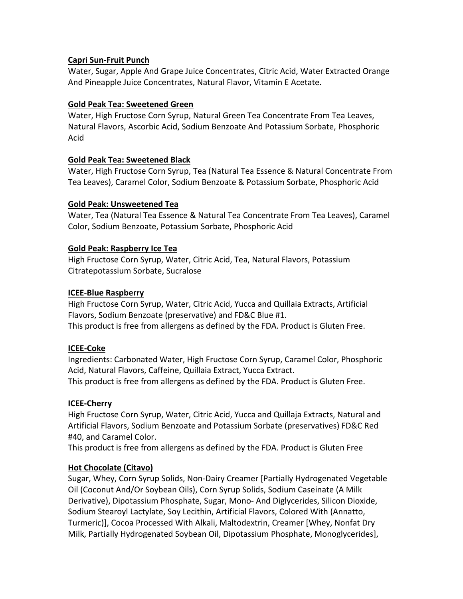# **Capri Sun‐Fruit Punch**

Water, Sugar, Apple And Grape Juice Concentrates, Citric Acid, Water Extracted Orange And Pineapple Juice Concentrates, Natural Flavor, Vitamin E Acetate.

### **Gold Peak Tea: Sweetened Green**

Water, High Fructose Corn Syrup, Natural Green Tea Concentrate From Tea Leaves, Natural Flavors, Ascorbic Acid, Sodium Benzoate And Potassium Sorbate, Phosphoric Acid

## **Gold Peak Tea: Sweetened Black**

Water, High Fructose Corn Syrup, Tea (Natural Tea Essence & Natural Concentrate From Tea Leaves), Caramel Color, Sodium Benzoate & Potassium Sorbate, Phosphoric Acid

## **Gold Peak: Unsweetened Tea**

Water, Tea (Natural Tea Essence & Natural Tea Concentrate From Tea Leaves), Caramel Color, Sodium Benzoate, Potassium Sorbate, Phosphoric Acid

## **Gold Peak: Raspberry Ice Tea**

High Fructose Corn Syrup, Water, Citric Acid, Tea, Natural Flavors, Potassium Citratepotassium Sorbate, Sucralose

## **ICEE‐Blue Raspberry**

High Fructose Corn Syrup, Water, Citric Acid, Yucca and Quillaia Extracts, Artificial Flavors, Sodium Benzoate (preservative) and FD&C Blue #1. This product is free from allergens as defined by the FDA. Product is Gluten Free.

# **ICEE‐Coke**

Ingredients: Carbonated Water, High Fructose Corn Syrup, Caramel Color, Phosphoric Acid, Natural Flavors, Caffeine, Quillaia Extract, Yucca Extract. This product is free from allergens as defined by the FDA. Product is Gluten Free.

### **ICEE‐Cherry**

High Fructose Corn Syrup, Water, Citric Acid, Yucca and Quillaja Extracts, Natural and Artificial Flavors, Sodium Benzoate and Potassium Sorbate (preservatives) FD&C Red #40, and Caramel Color.

This product is free from allergens as defined by the FDA. Product is Gluten Free

# **Hot Chocolate (Citavo)**

Sugar, Whey, Corn Syrup Solids, Non‐Dairy Creamer [Partially Hydrogenated Vegetable Oil (Coconut And/Or Soybean Oils), Corn Syrup Solids, Sodium Caseinate (A Milk Derivative), Dipotassium Phosphate, Sugar, Mono‐ And Diglycerides, Silicon Dioxide, Sodium Stearoyl Lactylate, Soy Lecithin, Artificial Flavors, Colored With (Annatto, Turmeric)], Cocoa Processed With Alkali, Maltodextrin, Creamer [Whey, Nonfat Dry Milk, Partially Hydrogenated Soybean Oil, Dipotassium Phosphate, Monoglycerides],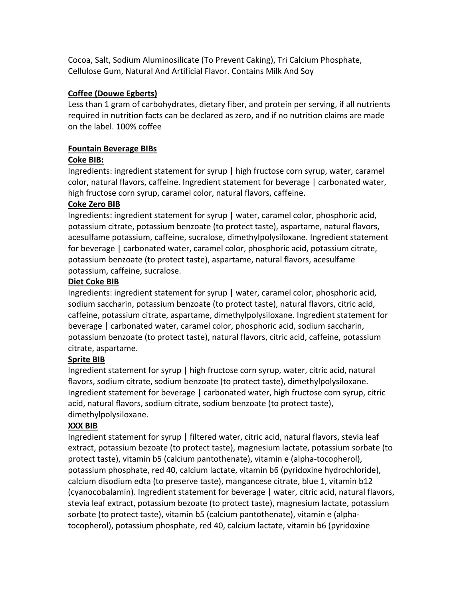Cocoa, Salt, Sodium Aluminosilicate (To Prevent Caking), Tri Calcium Phosphate, Cellulose Gum, Natural And Artificial Flavor. Contains Milk And Soy

# **Coffee (Douwe Egberts)**

Less than 1 gram of carbohydrates, dietary fiber, and protein per serving, if all nutrients required in nutrition facts can be declared as zero, and if no nutrition claims are made on the label. 100% coffee

# **Fountain Beverage BIBs**

# **Coke BIB:**

Ingredients: ingredient statement for syrup | high fructose corn syrup, water, caramel color, natural flavors, caffeine. Ingredient statement for beverage | carbonated water, high fructose corn syrup, caramel color, natural flavors, caffeine.

# **Coke Zero BIB**

Ingredients: ingredient statement for syrup | water, caramel color, phosphoric acid, potassium citrate, potassium benzoate (to protect taste), aspartame, natural flavors, acesulfame potassium, caffeine, sucralose, dimethylpolysiloxane. Ingredient statement for beverage | carbonated water, caramel color, phosphoric acid, potassium citrate, potassium benzoate (to protect taste), aspartame, natural flavors, acesulfame potassium, caffeine, sucralose.

# **Diet Coke BIB**

Ingredients: ingredient statement for syrup | water, caramel color, phosphoric acid, sodium saccharin, potassium benzoate (to protect taste), natural flavors, citric acid, caffeine, potassium citrate, aspartame, dimethylpolysiloxane. Ingredient statement for beverage | carbonated water, caramel color, phosphoric acid, sodium saccharin, potassium benzoate (to protect taste), natural flavors, citric acid, caffeine, potassium citrate, aspartame.

# **Sprite BIB**

Ingredient statement for syrup | high fructose corn syrup, water, citric acid, natural flavors, sodium citrate, sodium benzoate (to protect taste), dimethylpolysiloxane. Ingredient statement for beverage | carbonated water, high fructose corn syrup, citric acid, natural flavors, sodium citrate, sodium benzoate (to protect taste), dimethylpolysiloxane.

# **XXX BIB**

Ingredient statement for syrup | filtered water, citric acid, natural flavors, stevia leaf extract, potassium bezoate (to protect taste), magnesium lactate, potassium sorbate (to protect taste), vitamin b5 (calcium pantothenate), vitamin e (alpha‐tocopherol), potassium phosphate, red 40, calcium lactate, vitamin b6 (pyridoxine hydrochloride), calcium disodium edta (to preserve taste), mangancese citrate, blue 1, vitamin b12 (cyanocobalamin). Ingredient statement for beverage | water, citric acid, natural flavors, stevia leaf extract, potassium bezoate (to protect taste), magnesium lactate, potassium sorbate (to protect taste), vitamin b5 (calcium pantothenate), vitamin e (alpha‐ tocopherol), potassium phosphate, red 40, calcium lactate, vitamin b6 (pyridoxine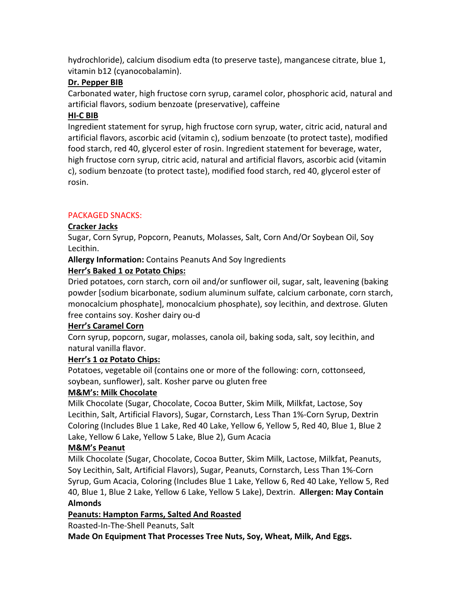hydrochloride), calcium disodium edta (to preserve taste), mangancese citrate, blue 1, vitamin b12 (cyanocobalamin).

# **Dr. Pepper BIB**

Carbonated water, high fructose corn syrup, caramel color, phosphoric acid, natural and artificial flavors, sodium benzoate (preservative), caffeine

# **HI‐C BIB**

Ingredient statement for syrup, high fructose corn syrup, water, citric acid, natural and artificial flavors, ascorbic acid (vitamin c), sodium benzoate (to protect taste), modified food starch, red 40, glycerol ester of rosin. Ingredient statement for beverage, water, high fructose corn syrup, citric acid, natural and artificial flavors, ascorbic acid (vitamin c), sodium benzoate (to protect taste), modified food starch, red 40, glycerol ester of rosin.

# PACKAGED SNACKS:

# **Cracker Jacks**

Sugar, Corn Syrup, Popcorn, Peanuts, Molasses, Salt, Corn And/Or Soybean Oil, Soy Lecithin.

**Allergy Information:** Contains Peanuts And Soy Ingredients

# **Herr's Baked 1 oz Potato Chips:**

Dried potatoes, corn starch, corn oil and/or sunflower oil, sugar, salt, leavening (baking powder [sodium bicarbonate, sodium aluminum sulfate, calcium carbonate, corn starch, monocalcium phosphate], monocalcium phosphate), soy lecithin, and dextrose. Gluten free contains soy. Kosher dairy ou‐d

# **Herr's Caramel Corn**

Corn syrup, popcorn, sugar, molasses, canola oil, baking soda, salt, soy lecithin, and natural vanilla flavor.

# **Herr's 1 oz Potato Chips:**

Potatoes, vegetable oil (contains one or more of the following: corn, cottonseed, soybean, sunflower), salt. Kosher parve ou gluten free

# **M&M's: Milk Chocolate**

Milk Chocolate (Sugar, Chocolate, Cocoa Butter, Skim Milk, Milkfat, Lactose, Soy Lecithin, Salt, Artificial Flavors), Sugar, Cornstarch, Less Than 1%‐Corn Syrup, Dextrin Coloring (Includes Blue 1 Lake, Red 40 Lake, Yellow 6, Yellow 5, Red 40, Blue 1, Blue 2 Lake, Yellow 6 Lake, Yellow 5 Lake, Blue 2), Gum Acacia

# **M&M's Peanut**

Milk Chocolate (Sugar, Chocolate, Cocoa Butter, Skim Milk, Lactose, Milkfat, Peanuts, Soy Lecithin, Salt, Artificial Flavors), Sugar, Peanuts, Cornstarch, Less Than 1%‐Corn Syrup, Gum Acacia, Coloring (Includes Blue 1 Lake, Yellow 6, Red 40 Lake, Yellow 5, Red 40, Blue 1, Blue 2 Lake, Yellow 6 Lake, Yellow 5 Lake), Dextrin. **Allergen: May Contain Almonds** 

# **Peanuts: Hampton Farms, Salted And Roasted**

Roasted‐In‐The‐Shell Peanuts, Salt

**Made On Equipment That Processes Tree Nuts, Soy, Wheat, Milk, And Eggs.**